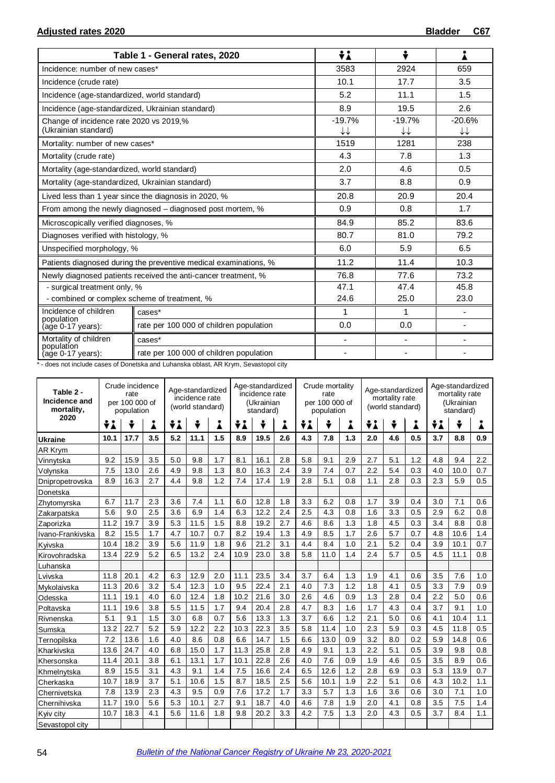|                                                                 | Table 1 - General rates, 2020                                    | ÷i                                 | ÷              |                          |  |
|-----------------------------------------------------------------|------------------------------------------------------------------|------------------------------------|----------------|--------------------------|--|
| Incidence: number of new cases*                                 |                                                                  | 3583                               | 2924           | 659                      |  |
| Incidence (crude rate)                                          |                                                                  | 10.1                               | 17.7           | 3.5                      |  |
| Incidence (age-standardized, world standard)                    |                                                                  | 5.2                                | 11.1           | 1.5                      |  |
| Incidence (age-standardized, Ukrainian standard)                |                                                                  | 8.9                                | 19.5           | 2.6                      |  |
| Change of incidence rate 2020 vs 2019,%<br>(Ukrainian standard) |                                                                  | $-19.7%$<br>$\downarrow\downarrow$ | $-19.7%$<br>↓↓ | $-20.6%$<br>↓↓           |  |
| Mortality: number of new cases*                                 |                                                                  | 1519                               | 1281           | 238                      |  |
| Mortality (crude rate)                                          |                                                                  | 4.3                                | 7.8            | 1.3                      |  |
| Mortality (age-standardized, world standard)                    |                                                                  | 2.0                                | 4.6            | 0.5                      |  |
| Mortality (age-standardized, Ukrainian standard)                |                                                                  | 3.7                                | 8.8            | 0.9                      |  |
|                                                                 | Lived less than 1 year since the diagnosis in 2020, %            | 20.8                               | 20.9           | 20.4                     |  |
|                                                                 | From among the newly diagnosed – diagnosed post mortem, %        | 0.9                                | 0.8            | 1.7                      |  |
| Microscopically verified diagnoses, %                           |                                                                  | 84.9                               | 85.2           | 83.6                     |  |
| Diagnoses verified with histology, %                            |                                                                  | 80.7                               | 81.0           | 79.2                     |  |
| Unspecified morphology, %                                       |                                                                  | 6.0                                | 5.9            | 6.5                      |  |
|                                                                 | Patients diagnosed during the preventive medical examinations, % | 11.2                               | 11.4           | 10.3                     |  |
|                                                                 | Newly diagnosed patients received the anti-cancer treatment, %   | 76.8                               | 77.6           | 73.2                     |  |
| - surgical treatment only, %                                    |                                                                  | 47.1                               | 47.4           |                          |  |
| - combined or complex scheme of treatment, %                    |                                                                  | 24.6                               | 25.0           | 23.0                     |  |
| Incidence of children<br>population                             | cases*                                                           | 1                                  | 1              | $\overline{\phantom{a}}$ |  |
| (age 0-17 years):                                               | rate per 100 000 of children population                          | 0.0                                | 0.0            |                          |  |
| Mortality of children<br>population                             | cases*                                                           |                                    | ٠              |                          |  |
| $(age 0-17 years):$                                             | rate per 100 000 of children population                          |                                    |                |                          |  |

\* - does not include cases of Donetska and Luhanska oblast, AR Krym, Sevastopol city

| Table 2 -<br>Incidence and<br>mortality, | Crude incidence<br>rate<br>per 100 000 of<br>population |      |     | Age-standardized<br>incidence rate<br>(world standard) |      |     | Age-standardized<br>incidence rate<br>(Ukrainian<br>standard) |      |     | Crude mortality<br>rate<br>per 100 000 of<br>population |      |     | Age-standardized<br>mortality rate<br>(world standard) |     |     | Age-standardized<br>mortality rate<br>(Ukrainian<br>standard) |      |     |
|------------------------------------------|---------------------------------------------------------|------|-----|--------------------------------------------------------|------|-----|---------------------------------------------------------------|------|-----|---------------------------------------------------------|------|-----|--------------------------------------------------------|-----|-----|---------------------------------------------------------------|------|-----|
| 2020                                     | ÷i                                                      |      | i   | ÷i                                                     | ÷    | i   | ÷i                                                            | ÷    | Å   | ÷i                                                      | ÷    | Å   | ÷i<br>÷<br>i                                           |     |     | ÷i                                                            | ÷    | Å   |
| <b>Ukraine</b>                           | 10.1                                                    | 17.7 | 3.5 | 5.2                                                    | 11.1 | 1.5 | 8.9                                                           | 19.5 | 2.6 | 4.3                                                     | 7.8  | 1.3 | 2.0                                                    | 4.6 | 0.5 | 3.7                                                           | 8.8  | 0.9 |
| <b>AR Krym</b>                           |                                                         |      |     |                                                        |      |     |                                                               |      |     |                                                         |      |     |                                                        |     |     |                                                               |      |     |
| Vinnytska                                | 9.2                                                     | 15.9 | 3.5 | 5.0                                                    | 9.8  | 1.7 | 8.1                                                           | 16.1 | 2.8 | 5.8                                                     | 9.1  | 2.9 | 2.7                                                    | 5.1 | 1.2 | 4.8                                                           | 9.4  | 2.2 |
| Volynska                                 | 7.5                                                     | 13.0 | 2.6 | 4.9                                                    | 9.8  | 1.3 | 8.0                                                           | 16.3 | 2.4 | 3.9                                                     | 7.4  | 0.7 | 2.2                                                    | 5.4 | 0.3 | 4.0                                                           | 10.0 | 0.7 |
| Dnipropetrovska                          | 8.9                                                     | 16.3 | 2.7 | 4.4                                                    | 9.8  | 1.2 | 7.4                                                           | 17.4 | 1.9 | 2.8                                                     | 5.1  | 0.8 | 1.1                                                    | 2.8 | 0.3 | 2.3                                                           | 5.9  | 0.5 |
| Donetska                                 |                                                         |      |     |                                                        |      |     |                                                               |      |     |                                                         |      |     |                                                        |     |     |                                                               |      |     |
| Zhytomyrska                              | 6.7                                                     | 11.7 | 2.3 | 3.6                                                    | 7.4  | 1.1 | 6.0                                                           | 12.8 | 1.8 | 3.3                                                     | 6.2  | 0.8 | 1.7                                                    | 3.9 | 0.4 | 3.0                                                           | 7.1  | 0.6 |
| Zakarpatska                              | 5.6                                                     | 9.0  | 2.5 | 3.6                                                    | 6.9  | 1.4 | 6.3                                                           | 12.2 | 2.4 | 2.5                                                     | 4.3  | 0.8 | 1.6                                                    | 3.3 | 0.5 | 2.9                                                           | 6.2  | 0.8 |
| Zaporizka                                | 11.2                                                    | 19.7 | 3.9 | 5.3                                                    | 11.5 | 1.5 | 8.8                                                           | 19.2 | 2.7 | 4.6                                                     | 8.6  | 1.3 | 1.8                                                    | 4.5 | 0.3 | 3.4                                                           | 8.8  | 0.8 |
| Ivano-Frankivska                         | 8.2                                                     | 15.5 | 1.7 | 4.7                                                    | 10.7 | 0.7 | 8.2                                                           | 19.4 | 1.3 | 4.9                                                     | 8.5  | 1.7 | 2.6                                                    | 5.7 | 0.7 | 4.8                                                           | 10.6 | 1.4 |
| Kyivska                                  | 10.4                                                    | 18.2 | 3.9 | 5.6                                                    | 11.9 | 1.8 | 9.6                                                           | 21.2 | 3.1 | 4.4                                                     | 8.4  | 1.0 | 2.1                                                    | 5.2 | 0.4 | 3.9                                                           | 10.1 | 0.7 |
| Kirovohradska                            | 13.4                                                    | 22.9 | 5.2 | 6.5                                                    | 13.2 | 2.4 | 10.9                                                          | 23.0 | 3.8 | 5.8                                                     | 11.0 | 1.4 | 2.4                                                    | 5.7 | 0.5 | 4.5                                                           | 11.1 | 0.8 |
| Luhanska                                 |                                                         |      |     |                                                        |      |     |                                                               |      |     |                                                         |      |     |                                                        |     |     |                                                               |      |     |
| Lvivska                                  | 11.8                                                    | 20.1 | 4.2 | 6.3                                                    | 12.9 | 2.0 | 11.1                                                          | 23.5 | 3.4 | 3.7                                                     | 6.4  | 1.3 | 1.9                                                    | 4.1 | 0.6 | 3.5                                                           | 7.6  | 1.0 |
| Mykolaivska                              | 11.3                                                    | 20.6 | 3.2 | 5.4                                                    | 12.3 | 1.0 | 9.5                                                           | 22.4 | 2.1 | 4.0                                                     | 7.3  | 1.2 | 1.8                                                    | 4.1 | 0.5 | 3.3                                                           | 7.9  | 0.9 |
| Odesska                                  | 11.1                                                    | 19.1 | 4.0 | 6.0                                                    | 12.4 | 1.8 | 10.2                                                          | 21.6 | 3.0 | 2.6                                                     | 4.6  | 0.9 | 1.3                                                    | 2.8 | 0.4 | 2.2                                                           | 5.0  | 0.6 |
| Poltavska                                | 11.1                                                    | 19.6 | 3.8 | 5.5                                                    | 11.5 | 1.7 | 9.4                                                           | 20.4 | 2.8 | 4.7                                                     | 8.3  | 1.6 | 1.7                                                    | 4.3 | 0.4 | 3.7                                                           | 9.1  | 1.0 |
| Rivnenska                                | 5.1                                                     | 9.1  | 1.5 | 3.0                                                    | 6.8  | 0.7 | 5.6                                                           | 13.3 | 1.3 | 3.7                                                     | 6.6  | 1.2 | 2.1                                                    | 5.0 | 0.6 | 4.1                                                           | 10.4 | 1.1 |
| Sumska                                   | 13.2                                                    | 22.7 | 5.2 | 5.9                                                    | 12.2 | 2.2 | 10.3                                                          | 22.3 | 3.5 | 5.8                                                     | 11.4 | 1.0 | 2.3                                                    | 5.9 | 0.3 | 4.5                                                           | 11.8 | 0.5 |
| Ternopilska                              | 7.2                                                     | 13.6 | 1.6 | 4.0                                                    | 8.6  | 0.8 | 6.6                                                           | 14.7 | 1.5 | 6.6                                                     | 13.0 | 0.9 | 3.2                                                    | 8.0 | 0.2 | 5.9                                                           | 14.8 | 0.6 |
| Kharkivska                               | 13.6                                                    | 24.7 | 4.0 | 6.8                                                    | 15.0 | 1.7 | 11.3                                                          | 25.8 | 2.8 | 4.9                                                     | 9.1  | 1.3 | 2.2                                                    | 5.1 | 0.5 | 3.9                                                           | 9.8  | 0.8 |
| Khersonska                               | 11.4                                                    | 20.1 | 3.8 | 6.1                                                    | 13.1 | 1.7 | 10.1                                                          | 22.8 | 2.6 | 4.0                                                     | 7.6  | 0.9 | 1.9                                                    | 4.6 | 0.5 | 3.5                                                           | 8.9  | 0.6 |
| Khmelnytska                              | 8.9                                                     | 15.5 | 3.1 | 4.3                                                    | 9.1  | 1.4 | 7.5                                                           | 16.6 | 2.4 | 6.5                                                     | 12.6 | 1.2 | 2.8                                                    | 6.9 | 0.3 | 5.3                                                           | 13.9 | 0.7 |
| Cherkaska                                | 10.7                                                    | 18.9 | 3.7 | 5.1                                                    | 10.6 | 1.5 | 8.7                                                           | 18.5 | 2.5 | 5.6                                                     | 10.1 | 1.9 | 2.2                                                    | 5.1 | 0.6 | 4.3                                                           | 10.2 | 1.1 |
| Chernivetska                             | 7.8                                                     | 13.9 | 2.3 | 4.3                                                    | 9.5  | 0.9 | 7.6                                                           | 17.2 | 1.7 | 3.3                                                     | 5.7  | 1.3 | 1.6                                                    | 3.6 | 0.6 | 3.0                                                           | 7.1  | 1.0 |
| Chernihivska                             | 11.7                                                    | 19.0 | 5.6 | 5.3                                                    | 10.1 | 2.7 | 9.1                                                           | 18.7 | 4.0 | 4.6                                                     | 7.8  | 1.9 | 2.0                                                    | 4.1 | 0.8 | 3.5                                                           | 7.5  | 1.4 |
| Kyiv city                                | 10.7                                                    | 18.3 | 4.1 | 5.6                                                    | 11.6 | 1.8 | 9.8                                                           | 20.2 | 3.3 | 4.2                                                     | 7.5  | 1.3 | 2.0                                                    | 4.3 | 0.5 | 3.7                                                           | 8.4  | 1.1 |
| Sevastopol city                          |                                                         |      |     |                                                        |      |     |                                                               |      |     |                                                         |      |     |                                                        |     |     |                                                               |      |     |